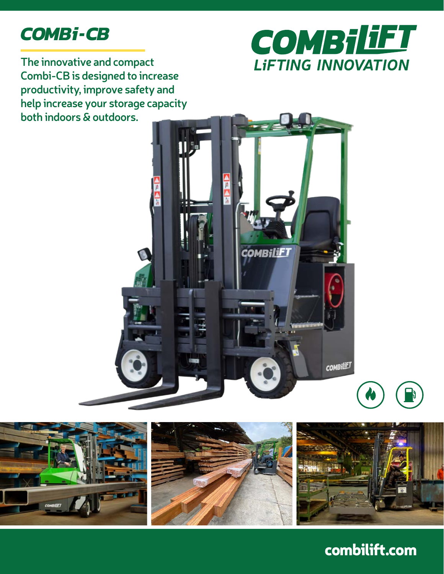# *COMBi-CB*



**The innovative and compact Combi-CB is designed to increase productivity, improve safety and help increase your storage capacity both indoors & outdoors.**





### combilift.com